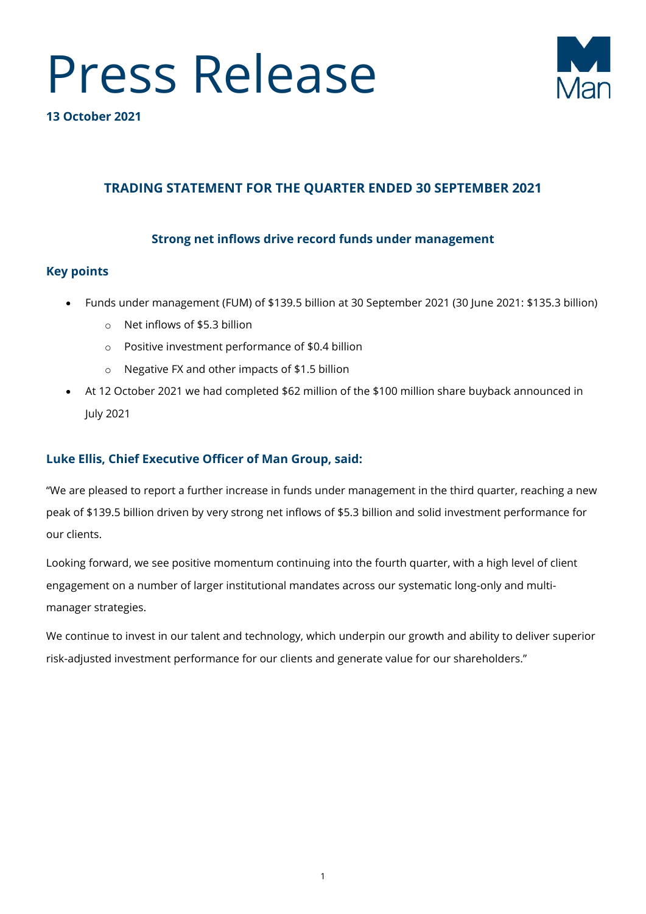



**13 October 2021** 

# **TRADING STATEMENT FOR THE QUARTER ENDED 30 SEPTEMBER 2021**

# **Strong net inflows drive record funds under management**

## **Key points**

- Funds under management (FUM) of \$139.5 billion at 30 September 2021 (30 June 2021: \$135.3 billion)
	- o Net inflows of \$5.3 billion
	- o Positive investment performance of \$0.4 billion
	- o Negative FX and other impacts of \$1.5 billion
- At 12 October 2021 we had completed \$62 million of the \$100 million share buyback announced in July 2021

# **Luke Ellis, Chief Executive Officer of Man Group, said:**

"We are pleased to report a further increase in funds under management in the third quarter, reaching a new peak of \$139.5 billion driven by very strong net inflows of \$5.3 billion and solid investment performance for our clients.

Looking forward, we see positive momentum continuing into the fourth quarter, with a high level of client engagement on a number of larger institutional mandates across our systematic long-only and multimanager strategies.

We continue to invest in our talent and technology, which underpin our growth and ability to deliver superior risk-adjusted investment performance for our clients and generate value for our shareholders."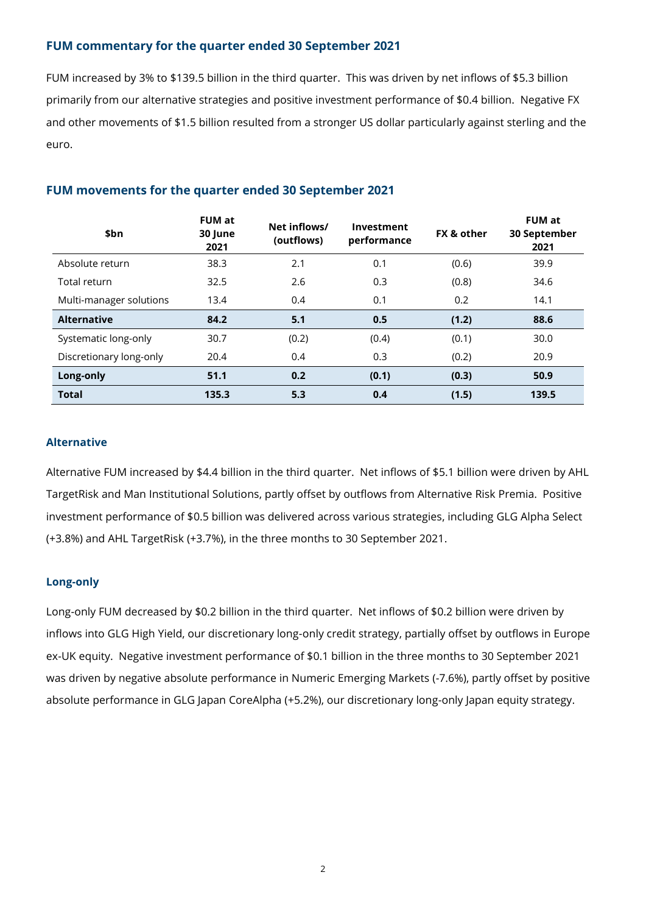### **FUM commentary for the quarter ended 30 September 2021**

FUM increased by 3% to \$139.5 billion in the third quarter. This was driven by net inflows of \$5.3 billion primarily from our alternative strategies and positive investment performance of \$0.4 billion. Negative FX and other movements of \$1.5 billion resulted from a stronger US dollar particularly against sterling and the euro.

| \$bn                    | <b>FUM at</b><br>30 June<br>2021 | Net inflows/<br>(outflows) | Investment<br>performance | <b>FX &amp; other</b> | <b>FUM at</b><br>30 September<br>2021 |
|-------------------------|----------------------------------|----------------------------|---------------------------|-----------------------|---------------------------------------|
| Absolute return         | 38.3                             | 2.1                        | 0.1                       | (0.6)                 | 39.9                                  |
| Total return            | 32.5                             | 2.6                        | 0.3                       | (0.8)                 | 34.6                                  |
| Multi-manager solutions | 13.4                             | 0.4                        | 0.1                       | 0.2                   | 14.1                                  |
| <b>Alternative</b>      | 84.2                             | 5.1                        | 0.5                       | (1.2)                 | 88.6                                  |
| Systematic long-only    | 30.7                             | (0.2)                      | (0.4)                     | (0.1)                 | 30.0                                  |
| Discretionary long-only | 20.4                             | 0.4                        | 0.3                       | (0.2)                 | 20.9                                  |
| Long-only               | 51.1                             | 0.2                        | (0.1)                     | (0.3)                 | 50.9                                  |
| <b>Total</b>            | 135.3                            | 5.3                        | 0.4                       | (1.5)                 | 139.5                                 |

## **FUM movements for the quarter ended 30 September 2021**

#### **Alternative**

Alternative FUM increased by \$4.4 billion in the third quarter. Net inflows of \$5.1 billion were driven by AHL TargetRisk and Man Institutional Solutions, partly offset by outflows from Alternative Risk Premia. Positive investment performance of \$0.5 billion was delivered across various strategies, including GLG Alpha Select (+3.8%) and AHL TargetRisk (+3.7%), in the three months to 30 September 2021.

#### **Long-only**

Long-only FUM decreased by \$0.2 billion in the third quarter. Net inflows of \$0.2 billion were driven by inflows into GLG High Yield, our discretionary long-only credit strategy, partially offset by outflows in Europe ex-UK equity. Negative investment performance of \$0.1 billion in the three months to 30 September 2021 was driven by negative absolute performance in Numeric Emerging Markets (-7.6%), partly offset by positive absolute performance in GLG Japan CoreAlpha (+5.2%), our discretionary long-only Japan equity strategy.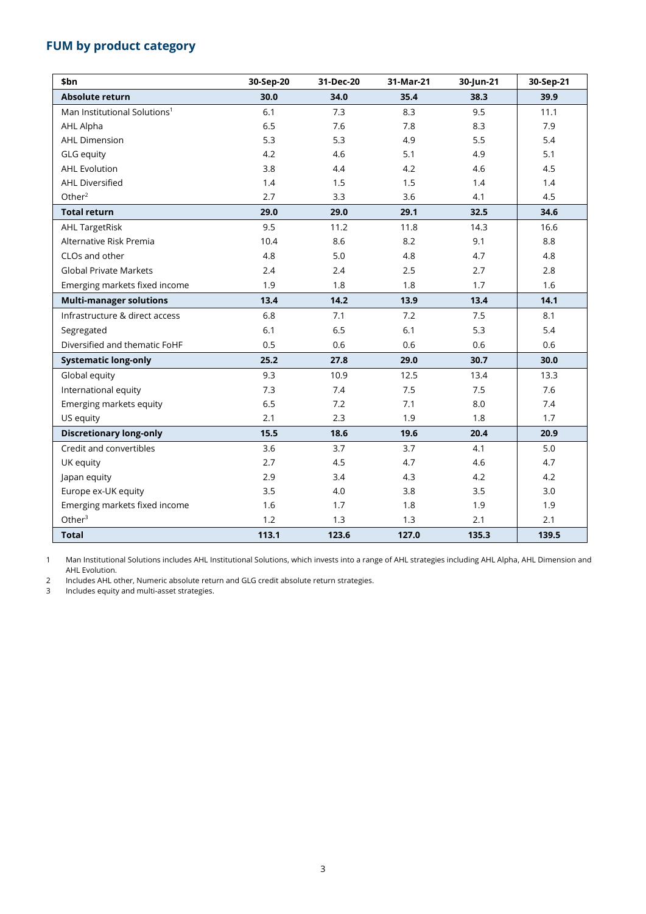# **FUM by product category**

| \$bn                                     | 30-Sep-20 | 31-Dec-20 | 31-Mar-21 | 30-Jun-21 | 30-Sep-21 |
|------------------------------------------|-----------|-----------|-----------|-----------|-----------|
| Absolute return                          | 30.0      | 34.0      | 35.4      | 38.3      | 39.9      |
| Man Institutional Solutions <sup>1</sup> | 6.1       | 7.3       | 8.3       | 9.5       | 11.1      |
| AHL Alpha                                | 6.5       | 7.6       | 7.8       | 8.3       | 7.9       |
| <b>AHL Dimension</b>                     | 5.3       | 5.3       | 4.9       | 5.5       | 5.4       |
| <b>GLG</b> equity                        | 4.2       | 4.6       | 5.1       | 4.9       | 5.1       |
| <b>AHL Evolution</b>                     | 3.8       | 4.4       | 4.2       | 4.6       | 4.5       |
| <b>AHL Diversified</b>                   | 1.4       | 1.5       | 1.5       | 1.4       | 1.4       |
| Other $2$                                | 2.7       | 3.3       | 3.6       | 4.1       | 4.5       |
| <b>Total return</b>                      | 29.0      | 29.0      | 29.1      | 32.5      | 34.6      |
| <b>AHL TargetRisk</b>                    | 9.5       | 11.2      | 11.8      | 14.3      | 16.6      |
| Alternative Risk Premia                  | 10.4      | 8.6       | 8.2       | 9.1       | 8.8       |
| CLOs and other                           | 4.8       | 5.0       | 4.8       | 4.7       | 4.8       |
| <b>Global Private Markets</b>            | 2.4       | 2.4       | 2.5       | 2.7       | 2.8       |
| Emerging markets fixed income            | 1.9       | 1.8       | 1.8       | 1.7       | 1.6       |
| <b>Multi-manager solutions</b>           | 13.4      | 14.2      | 13.9      | 13.4      | 14.1      |
| Infrastructure & direct access           | 6.8       | 7.1       | 7.2       | 7.5       | 8.1       |
| Segregated                               | 6.1       | 6.5       | 6.1       | 5.3       | 5.4       |
| Diversified and thematic FoHF            | 0.5       | 0.6       | 0.6       | 0.6       | 0.6       |
| <b>Systematic long-only</b>              | 25.2      | 27.8      | 29.0      | 30.7      | 30.0      |
| Global equity                            | 9.3       | 10.9      | 12.5      | 13.4      | 13.3      |
| International equity                     | 7.3       | 7.4       | 7.5       | 7.5       | 7.6       |
| Emerging markets equity                  | 6.5       | 7.2       | 7.1       | 8.0       | 7.4       |
| US equity                                | 2.1       | 2.3       | 1.9       | 1.8       | 1.7       |
| <b>Discretionary long-only</b>           | 15.5      | 18.6      | 19.6      | 20.4      | 20.9      |
| Credit and convertibles                  | 3.6       | 3.7       | 3.7       | 4.1       | 5.0       |
| UK equity                                | 2.7       | 4.5       | 4.7       | 4.6       | 4.7       |
| Japan equity                             | 2.9       | 3.4       | 4.3       | 4.2       | 4.2       |
| Europe ex-UK equity                      | 3.5       | 4.0       | 3.8       | 3.5       | 3.0       |
| Emerging markets fixed income            | 1.6       | 1.7       | 1.8       | 1.9       | 1.9       |
| Other $3$                                | 1.2       | 1.3       | 1.3       | 2.1       | 2.1       |
| <b>Total</b>                             | 113.1     | 123.6     | 127.0     | 135.3     | 139.5     |

1 Man Institutional Solutions includes AHL Institutional Solutions, which invests into a range of AHL strategies including AHL Alpha, AHL Dimension and AHL Evolution.

2 Includes AHL other, Numeric absolute return and GLG credit absolute return strategies.

Includes equity and multi-asset strategies.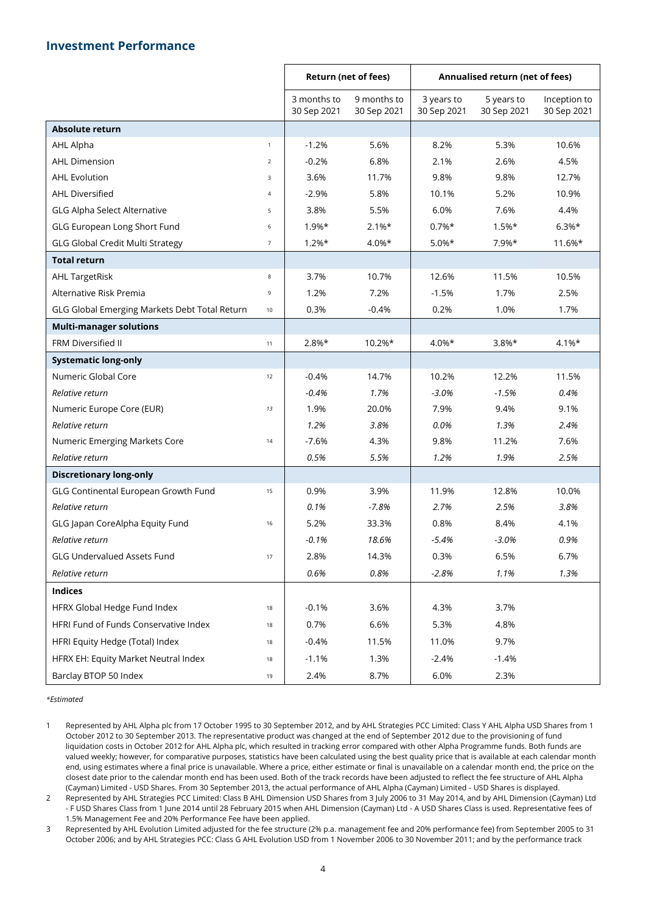#### **Investment Performance**

|                                               |                | <b>Return (net of fees)</b> |                            | Annualised return (net of fees) |                           |                             |
|-----------------------------------------------|----------------|-----------------------------|----------------------------|---------------------------------|---------------------------|-----------------------------|
|                                               |                | 3 months to<br>30 Sep 2021  | 9 months to<br>30 Sep 2021 | 3 years to<br>30 Sep 2021       | 5 years to<br>30 Sep 2021 | Inception to<br>30 Sep 2021 |
| <b>Absolute return</b>                        |                |                             |                            |                                 |                           |                             |
| AHL Alpha                                     | $\mathbf{1}$   | $-1.2%$                     | 5.6%                       | 8.2%                            | 5.3%                      | 10.6%                       |
| <b>AHL Dimension</b>                          | $\overline{2}$ | $-0.2%$                     | 6.8%                       | 2.1%                            | 2.6%                      | 4.5%                        |
| <b>AHL Evolution</b>                          | 3              | 3.6%                        | 11.7%                      | 9.8%                            | 9.8%                      | 12.7%                       |
| <b>AHL Diversified</b>                        | $\overline{4}$ | $-2.9%$                     | 5.8%                       | 10.1%                           | 5.2%                      | 10.9%                       |
| <b>GLG Alpha Select Alternative</b>           | 5              | 3.8%                        | 5.5%                       | 6.0%                            | 7.6%                      | 4.4%                        |
| GLG European Long Short Fund                  | 6              | $1.9%*$                     | $2.1%$ *                   | $0.7\%*$                        | $1.5%*$                   | $6.3%*$                     |
| <b>GLG Global Credit Multi Strategy</b>       | $\overline{7}$ | $1.2%$ *                    | $4.0\%*$                   | $5.0\%*$                        | 7.9%*                     | 11.6%*                      |
| <b>Total return</b>                           |                |                             |                            |                                 |                           |                             |
| <b>AHL TargetRisk</b>                         | 8              | 3.7%                        | 10.7%                      | 12.6%                           | 11.5%                     | 10.5%                       |
| Alternative Risk Premia                       | 9              | 1.2%                        | 7.2%                       | $-1.5%$                         | 1.7%                      | 2.5%                        |
| GLG Global Emerging Markets Debt Total Return | 10             | 0.3%                        | $-0.4%$                    | 0.2%                            | 1.0%                      | 1.7%                        |
| <b>Multi-manager solutions</b>                |                |                             |                            |                                 |                           |                             |
| FRM Diversified II                            | 11             | $2.8%*$                     | 10.2%*                     | $4.0\%*$                        | $3.8\%*$                  | $4.1%$ *                    |
| <b>Systematic long-only</b>                   |                |                             |                            |                                 |                           |                             |
| Numeric Global Core                           | 12             | $-0.4%$                     | 14.7%                      | 10.2%                           | 12.2%                     | 11.5%                       |
| Relative return                               |                | $-0.4%$                     | 1.7%                       | $-3.0%$                         | $-1.5%$                   | 0.4%                        |
| Numeric Europe Core (EUR)                     | 13             | 1.9%                        | 20.0%                      | 7.9%                            | 9.4%                      | 9.1%                        |
| Relative return                               |                | 1.2%                        | 3.8%                       | 0.0%                            | 1.3%                      | 2.4%                        |
| Numeric Emerging Markets Core                 | 14             | $-7.6%$                     | 4.3%                       | 9.8%                            | 11.2%                     | 7.6%                        |
| Relative return                               |                | 0.5%                        | 5.5%                       | 1.2%                            | 1.9%                      | 2.5%                        |
| <b>Discretionary long-only</b>                |                |                             |                            |                                 |                           |                             |
| GLG Continental European Growth Fund          | 15             | 0.9%                        | 3.9%                       | 11.9%                           | 12.8%                     | 10.0%                       |
| Relative return                               |                | 0.1%                        | $-7.8%$                    | 2.7%                            | 2.5%                      | 3.8%                        |
| GLG Japan CoreAlpha Equity Fund               | 16             | 5.2%                        | 33.3%                      | 0.8%                            | 8.4%                      | 4.1%                        |
| Relative return                               |                | $-0.1%$                     | 18.6%                      | $-5.4%$                         | $-3.0%$                   | 0.9%                        |
| <b>GLG Undervalued Assets Fund</b>            | $17\,$         | 2.8%                        | 14.3%                      | 0.3%                            | 6.5%                      | 6.7%                        |
| Relative return                               |                | 0.6%                        | 0.8%                       | $-2.8%$                         | 1.1%                      | 1.3%                        |
| <b>Indices</b>                                |                |                             |                            |                                 |                           |                             |
| HFRX Global Hedge Fund Index                  | 18             | $-0.1%$                     | 3.6%                       | 4.3%                            | 3.7%                      |                             |
| HFRI Fund of Funds Conservative Index         | 18             | 0.7%                        | 6.6%                       | 5.3%                            | 4.8%                      |                             |
| HFRI Equity Hedge (Total) Index               | 18             | $-0.4%$                     | 11.5%                      | 11.0%                           | 9.7%                      |                             |
| HFRX EH: Equity Market Neutral Index          | 18             | $-1.1%$                     | 1.3%                       | $-2.4%$                         | $-1.4%$                   |                             |
| Barclay BTOP 50 Index                         | 19             | 2.4%                        | 8.7%                       | 6.0%                            | 2.3%                      |                             |

*\*Estimated*

1 Represented by AHL Alpha plc from 17 October 1995 to 30 September 2012, and by AHL Strategies PCC Limited: Class Y AHL Alpha USD Shares from 1 October 2012 to 30 September 2013. The representative product was changed at the end of September 2012 due to the provisioning of fund liquidation costs in October 2012 for AHL Alpha plc, which resulted in tracking error compared with other Alpha Programme funds. Both funds are valued weekly; however, for comparative purposes, statistics have been calculated using the best quality price that is available at each calendar month end, using estimates where a final price is unavailable. Where a price, either estimate or final is unavailable on a calendar month end, the price on the closest date prior to the calendar month end has been used. Both of the track records have been adjusted to reflect the fee structure of AHL Alpha (Cayman) Limited - USD Shares. From 30 September 2013, the actual performance of AHL Alpha (Cayman) Limited - USD Shares is displayed.

2 Represented by AHL Strategies PCC Limited: Class B AHL Dimension USD Shares from 3 July 2006 to 31 May 2014, and by AHL Dimension (Cayman) Ltd - F USD Shares Class from 1 June 2014 until 28 February 2015 when AHL Dimension (Cayman) Ltd - A USD Shares Class is used. Representative fees of 1.5% Management Fee and 20% Performance Fee have been applied.

3 Represented by AHL Evolution Limited adjusted for the fee structure (2% p.a. management fee and 20% performance fee) from September 2005 to 31 October 2006; and by AHL Strategies PCC: Class G AHL Evolution USD from 1 November 2006 to 30 November 2011; and by the performance track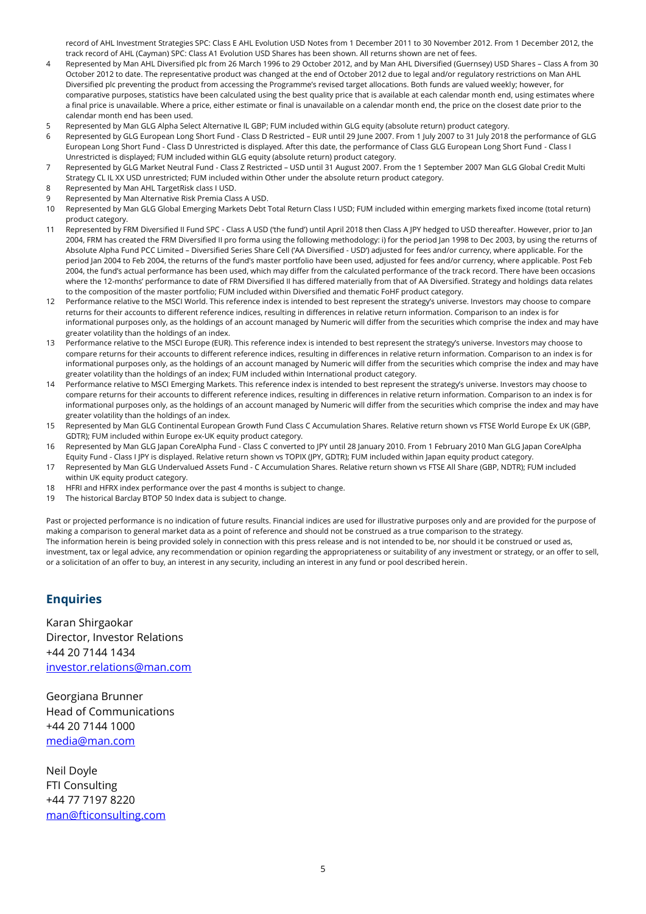record of AHL Investment Strategies SPC: Class E AHL Evolution USD Notes from 1 December 2011 to 30 November 2012. From 1 December 2012, the track record of AHL (Cayman) SPC: Class A1 Evolution USD Shares has been shown. All returns shown are net of fees.

- 4 Represented by Man AHL Diversified plc from 26 March 1996 to 29 October 2012, and by Man AHL Diversified (Guernsey) USD Shares Class A from 30 October 2012 to date. The representative product was changed at the end of October 2012 due to legal and/or regulatory restrictions on Man AHL Diversified plc preventing the product from accessing the Programme's revised target allocations. Both funds are valued weekly; however, for comparative purposes, statistics have been calculated using the best quality price that is available at each calendar month end, using estimates where a final price is unavailable. Where a price, either estimate or final is unavailable on a calendar month end, the price on the closest date prior to the calendar month end has been used.
- 5 Represented by Man GLG Alpha Select Alternative IL GBP; FUM included within GLG equity (absolute return) product category.
- 6 Represented by GLG European Long Short Fund Class D Restricted EUR until 29 June 2007. From 1 July 2007 to 31 July 2018 the performance of GLG European Long Short Fund - Class D Unrestricted is displayed. After this date, the performance of Class GLG European Long Short Fund - Class I Unrestricted is displayed; FUM included within GLG equity (absolute return) product category.
- 7 Represented by GLG Market Neutral Fund Class Z Restricted USD until 31 August 2007. From the 1 September 2007 Man GLG Global Credit Multi Strategy CL IL XX USD unrestricted; FUM included within Other under the absolute return product category.
- 8 Represented by Man AHL TargetRisk class I USD.
- 9 Represented by Man Alternative Risk Premia Class A USD.
- 10 Represented by Man GLG Global Emerging Markets Debt Total Return Class I USD; FUM included within emerging markets fixed income (total return) product category.
- 11 Represented by FRM Diversified II Fund SPC Class A USD ('the fund') until April 2018 then Class A JPY hedged to USD thereafter. However, prior to Jan 2004, FRM has created the FRM Diversified II pro forma using the following methodology: i) for the period Jan 1998 to Dec 2003, by using the returns of Absolute Alpha Fund PCC Limited – Diversified Series Share Cell ('AA Diversified - USD') adjusted for fees and/or currency, where applicable. For the period Jan 2004 to Feb 2004, the returns of the fund's master portfolio have been used, adjusted for fees and/or currency, where applicable. Post Feb 2004, the fund's actual performance has been used, which may differ from the calculated performance of the track record. There have been occasions where the 12-months' performance to date of FRM Diversified II has differed materially from that of AA Diversified. Strategy and holdings data relates to the composition of the master portfolio; FUM included within Diversified and thematic FoHF product category.
- 12 Performance relative to the MSCI World. This reference index is intended to best represent the strategy's universe. Investors may choose to compare returns for their accounts to different reference indices, resulting in differences in relative return information. Comparison to an index is for informational purposes only, as the holdings of an account managed by Numeric will differ from the securities which comprise the index and may have greater volatility than the holdings of an index.
- 13 Performance relative to the MSCI Europe (EUR). This reference index is intended to best represent the strategy's universe. Investors may choose to compare returns for their accounts to different reference indices, resulting in differences in relative return information. Comparison to an index is for informational purposes only, as the holdings of an account managed by Numeric will differ from the securities which comprise the index and may have greater volatility than the holdings of an index; FUM included within International product category.
- 14 Performance relative to MSCI Emerging Markets. This reference index is intended to best represent the strategy's universe. Investors may choose to compare returns for their accounts to different reference indices, resulting in differences in relative return information. Comparison to an index is for informational purposes only, as the holdings of an account managed by Numeric will differ from the securities which comprise the index and may have greater volatility than the holdings of an index.
- 15 Represented by Man GLG Continental European Growth Fund Class C Accumulation Shares. Relative return shown vs FTSE World Europe Ex UK (GBP, GDTR); FUM included within Europe ex-UK equity product category.
- 16 Represented by Man GLG Japan CoreAlpha Fund Class C converted to JPY until 28 January 2010. From 1 February 2010 Man GLG Japan CoreAlpha Equity Fund - Class I JPY is displayed. Relative return shown vs TOPIX (JPY, GDTR); FUM included within Japan equity product category.
- 17 Represented by Man GLG Undervalued Assets Fund C Accumulation Shares. Relative return shown vs FTSE All Share (GBP, NDTR); FUM included within UK equity product category.
- 18 HFRI and HFRX index performance over the past 4 months is subject to change.
- 19 The historical Barclay BTOP 50 Index data is subject to change.

Past or projected performance is no indication of future results. Financial indices are used for illustrative purposes only and are provided for the purpose of making a comparison to general market data as a point of reference and should not be construed as a true comparison to the strategy. The information herein is being provided solely in connection with this press release and is not intended to be, nor should it be construed or used as, investment, tax or legal advice, any recommendation or opinion regarding the appropriateness or suitability of any investment or strategy, or an offer to sell, or a solicitation of an offer to buy, an interest in any security, including an interest in any fund or pool described herein.

#### **Enquiries**

Karan Shirgaokar Director, Investor Relations +44 20 7144 1434 [investor.relations@man.com](mailto:investor.relations@man.com)

Georgiana Brunner Head of Communications +44 20 7144 1000 [media@man.com](mailto:media@man.com)

Neil Doyle FTI Consulting +44 77 7197 8220 [man@f](mailto:mangroupUK@finsbury.com)ticonsulting.com